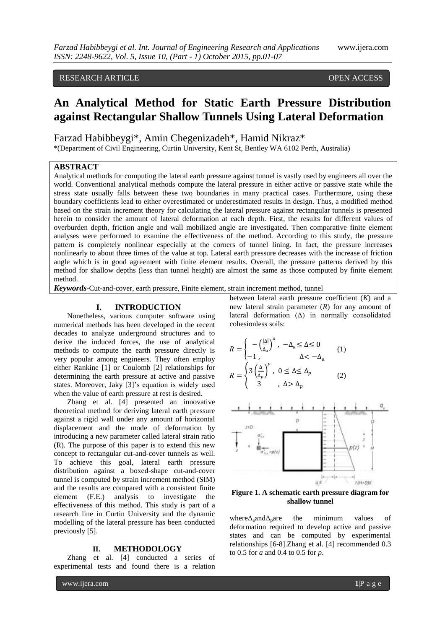# RESEARCH ARTICLE OPEN ACCESS

# **An Analytical Method for Static Earth Pressure Distribution against Rectangular Shallow Tunnels Using Lateral Deformation**

Farzad Habibbeygi\*, Amin Chegenizadeh\*, Hamid Nikraz\*

\*(Department of Civil Engineering, Curtin University, Kent St, Bentley WA 6102 Perth, Australia)

# **ABSTRACT**

Analytical methods for computing the lateral earth pressure against tunnel is vastly used by engineers all over the world. Conventional analytical methods compute the lateral pressure in either active or passive state while the stress state usually falls between these two boundaries in many practical cases. Furthermore, using these boundary coefficients lead to either overestimated or underestimated results in design. Thus, a modified method based on the strain increment theory for calculating the lateral pressure against rectangular tunnels is presented herein to consider the amount of lateral deformation at each depth. First, the results for different values of overburden depth, friction angle and wall mobilized angle are investigated. Then comparative finite element analyses were performed to examine the effectiveness of the method. According to this study, the pressure pattern is completely nonlinear especially at the corners of tunnel lining. In fact, the pressure increases nonlinearly to about three times of the value at top. Lateral earth pressure decreases with the increase of friction angle which is in good agreement with finite element results. Overall, the pressure patterns derived by this method for shallow depths (less than tunnel height) are almost the same as those computed by finite element method.

*Keywords***-**Cut-and-cover, earth pressure, Finite element, strain increment method, tunnel

### **I. INTRODUCTION**

Nonetheless, various computer software using numerical methods has been developed in the recent decades to analyze underground structures and to derive the induced forces, the use of analytical methods to compute the earth pressure directly is very popular among engineers. They often employ either Rankine [1] or Coulomb [2] relationships for determining the earth pressure at active and passive states. Moreover, Jaky [3]'s equation is widely used when the value of earth pressure at rest is desired.

Zhang et al. [4] presented an innovative theoretical method for deriving lateral earth pressure against a rigid wall under any amount of horizontal displacement and the mode of deformation by introducing a new parameter called lateral strain ratio (R). The purpose of this paper is to extend this new concept to rectangular cut-and-cover tunnels as well. To achieve this goal, lateral earth pressure distribution against a boxed-shape cut-and-cover tunnel is computed by strain increment method (SIM) and the results are compared with a consistent finite element (F.E.) analysis to investigate the effectiveness of this method. This study is part of a research line in Curtin University and the dynamic modelling of the lateral pressure has been conducted previously [5].

#### **II. METHODOLOGY**

Zhang et al. [4] conducted a series of experimental tests and found there is a relation

between lateral earth pressure coefficient (*K*) and a new lateral strain parameter (*R*) for any amount of lateral deformation (Δ) in normally consolidated cohesionless soils:

$$
R = \begin{cases} -\left(\frac{|\Delta|}{\Delta_a}\right)^a, & -\Delta_a \le \Delta \le 0\\ -1, & \Delta < -\Delta_a \end{cases} \tag{1}
$$

$$
R = \begin{cases} 3\left(\frac{\Delta}{\Delta_p}\right)^p, & 0 \le \Delta \le \Delta_p\\ 3, & \Delta > \Delta_p \end{cases} \tag{2}
$$



**Figure 1. A schematic earth pressure diagram for shallow tunnel**

where $\Delta_a$ and $\Delta_p$ are the minimum values deformation required to develop active and passive states and can be computed by experimental relationships [6-8].Zhang et al. [4] recommended 0.3 to 0.5 for *a* and 0.4 to 0.5 for *p*.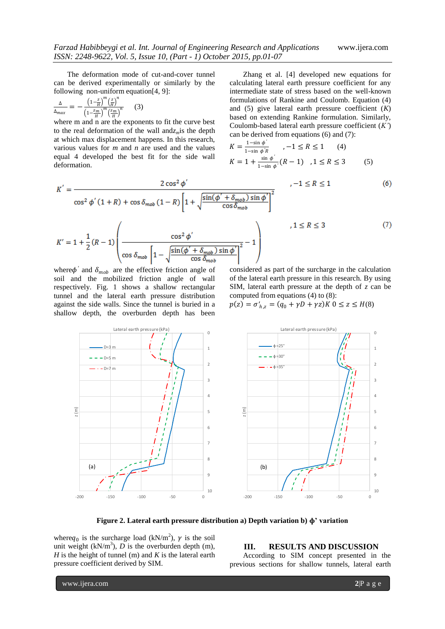The deformation mode of cut-and-cover tunnel can be derived experimentally or similarly by the following non-uniform equation[4, 9]:

$$
\frac{\Delta}{\Delta_{max}} = -\frac{\left(1 - \frac{z}{H}\right)^m \left(\frac{z}{H}\right)^n}{\left(1 - \frac{z_m}{H}\right)^m \left(\frac{z_m}{H}\right)^n} \tag{3}
$$

 $K'$ 

where m and n are the exponents to fit the curve best to the real deformation of the wall and*zm*is the depth at which max displacement happens. In this research, various values for *m* and *n* are used and the values equal 4 developed the best fit for the side wall deformation.

Zhang et al. [4] developed new equations for calculating lateral earth pressure coefficient for any intermediate state of stress based on the well-known formulations of Rankine and Coulomb. Equation (4) and (5) give lateral earth pressure coefficient (*K*) based on extending Rankine formulation. Similarly, Coulomb-based lateral earth pressure coefficient (*K'*) can be derived from equations (6) and (7):

$$
K = \frac{1 - \sin \phi'}{1 - \sin \phi' R}, -1 \le R \le 1 \qquad (4)
$$
  

$$
K = 1 + \frac{\sin \phi'}{1 - \sin \phi} (R - 1), 1 \le R \le 3 \qquad (5)
$$

$$
= \frac{2\cos^2\phi'}{\cos^2\phi'(1+R)+\cos\delta_{mob}(1-R)\left[1+\sqrt{\frac{\sin(\phi'+\delta_{mob})\sin\phi'}{\cos\delta_{mob}}}\right]^2}
$$
 , -1 ≤ R ≤ 1 (6)

$$
K' = 1 + \frac{1}{2}(R - 1) \left(\frac{\cos^2 \phi'}{\cos \delta_{\text{mob}} \left[1 - \sqrt{\frac{\sin(\phi' + \delta_{\text{mob}})\sin \phi'}{\cos \delta_{\text{mob}}}}\right]^2} - 1\right)
$$
\n(7)

where  $\phi'$  and  $\delta_{mob}$  are the effective friction angle of soil and the mobilized friction angle of wall respectively. Fig. 1 shows a shallow rectangular tunnel and the lateral earth pressure distribution against the side walls. Since the tunnel is buried in a shallow depth, the overburden depth has been

considered as part of the surcharge in the calculation of the lateral earth pressure in this research. By using SIM, lateral earth pressure at the depth of *z* can be computed from equations (4) to (8):

$$
p(z) = \sigma'_{h,z} = (q_0 + \gamma D + \gamma z)K \ 0 \le z \le H(8)
$$





**Figure 2. Lateral earth pressure distribution a) Depth variation b) ɸ' variation**

where  $q_0$  is the surcharge load (kN/m<sup>2</sup>),  $\gamma$  is the soil unit weight  $(kN/m<sup>3</sup>)$ , *D* is the overburden depth (m), *H* is the height of tunnel (m) and *K* is the lateral earth pressure coefficient derived by SIM.

## **III. RESULTS AND DISCUSSION**

According to SIM concept presented in the previous sections for shallow tunnels, lateral earth

www.ijera.com **2**|P a g e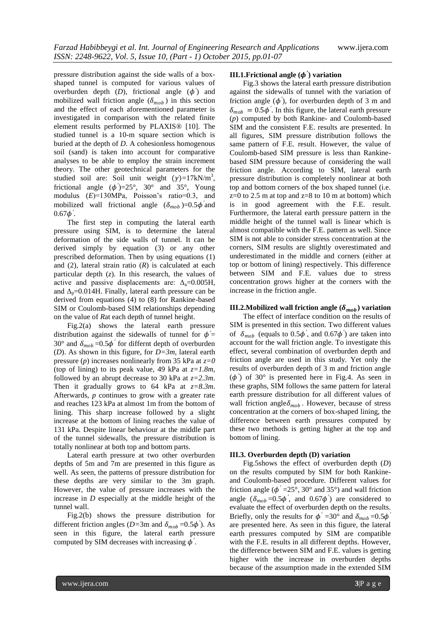pressure distribution against the side walls of a boxshaped tunnel is computed for various values of overburden depth  $(D)$ , frictional angle  $(\phi')$  and mobilized wall friction angle  $(\delta_{mob})$  in this section and the effect of each aforementioned parameter is investigated in comparison with the related finite element results performed by PLAXIS® [10]. The studied tunnel is a 10-m square section which is buried at the depth of *D*. A cohesionless homogenous soil (sand) is taken into account for comparative analyses to be able to employ the strain increment theory. The other geotechnical parameters for the studied soil are: Soil unit weight  $(\gamma)$ =17kN/m<sup>3</sup>, frictional angle  $(\phi')=25^{\circ}$ , 30° and 35°, Young modulus (*E*)=130MPa, Poisson's ratio=0.3, and mobilized wall frictional angle  $(\delta_{mob})=0.5\phi'$  and  $0.67\phi'$ .

The first step in computing the lateral earth pressure using SIM, is to determine the lateral deformation of the side walls of tunnel. It can be derived simply by equation (3) or any other prescribed deformation. Then by using equations (1) and (2), lateral strain ratio (*R*) is calculated at each particular depth (*z*). In this research, the values of active and passive displacements are:  $\Delta_a = 0.005H$ , and  $\Delta_p = 0.014$ H. Finally, lateral earth pressure can be derived from equations (4) to (8) for Rankine-based SIM or Coulomb-based SIM relationships depending on the value of *R*at each depth of tunnel height.

Fig.2(a) shows the lateral earth pressure distribution against the sidewalls of tunnel for  $\phi'$  = 30 $\degree$  and  $\delta_{mob} = 0.5\phi'$  for differnt depth of overburden (*D*). As shown in this figure, for *D=3m*, lateral earth pressure (*p*) increases nonlinearly from 35 kPa at *z=0* (top of lining) to its peak value, 49 kPa at *z=1.8m,*  followed by an abrupt decrease to 30 kPa at *z=2.3m*. Then it gradually grows to 64 kPa at *z=8.3m*. Afterwards, *p* continues to grow with a greater rate and reaches 123 kPa at almost 1m from the bottom of lining. This sharp increase followed by a slight increase at the bottom of lining reaches the value of 131 kPa. Despite linear behaviour at the middle part of the tunnel sidewalls, the pressure distribution is totally nonlinear at both top and bottom parts.

Lateral earth pressure at two other overburden depths of 5m and 7m are presented in this figure as well. As seen, the patterns of pressure distribution for these depths are very similar to the 3m graph. However, the value of pressure increases with the increase in *D* especially at the middle height of the tunnel wall.

Fig.2(b) shows the pressure distribution for different friction angles ( $D=3$ m and  $\delta_{mob} = 0.5\phi'$ ). As seen in this figure, the lateral earth pressure computed by SIM decreases with increasing  $\phi'$ .

# **III.1.Frictional angle (***′* **) variation**

Fig.3 shows the lateral earth pressure distribution against the sidewalls of tunnel with the variation of friction angle  $(\phi')$ , for overburden depth of 3 m and  $\delta_{mob} = 0.5\phi'$ . In this figure, the lateral earth pressure (*p*) computed by both Rankine- and Coulomb-based SIM and the consistent F.E. results are presented. In all figures, SIM pressure distribution follows the same pattern of F.E. result. However, the value of Coulomb-based SIM pressure is less than Rankinebased SIM pressure because of considering the wall friction angle. According to SIM, lateral earth pressure distribution is completely nonlinear at both top and bottom corners of the box shaped tunnel (i.e.  $z=0$  to 2.5 m at top and  $z=8$  to 10 m at bottom) which is in good agreement with the F.E. result. Furthermore, the lateral earth pressure pattern in the middle height of the tunnel wall is linear which is almost compatible with the F.E. pattern as well. Since SIM is not able to consider stress concentration at the corners, SIM results are slightly overestimated and underestimated in the middle and corners (either at top or bottom of lining) respectively. This difference between SIM and F.E. values due to stress concentration grows higher at the corners with the increase in the friction angle.

# **III.2.**Mobilized wall friction angle  $(\delta_{mob})$  variation

The effect of interface condition on the results of SIM is presented in this section. Two different values of  $\delta_{mob}$  (equals to  $0.5\phi'$ , and  $0.67\phi'$ ) are taken into account for the wall friction angle. To investigate this effect, several combination of overburden depth and friction angle are used in this study. Yet only the results of overburden depth of 3 m and friction angle  $(\phi)$  of 30° is presented here in Fig.4. As seen in these graphs, SIM follows the same pattern for lateral earth pressure distribution for all different values of wall friction angle  $\delta_{mob}$ . However, because of stress concentration at the corners of box-shaped lining, the difference between earth pressures computed by these two methods is getting higher at the top and bottom of lining.

#### **III.3. Overburden depth (D) variation**

Fig.5shows the effect of overburden depth (*D*) on the results computed by SIM for both Rankineand Coulomb-based procedure. Different values for friction angle ( $\phi' = 25^\circ$ , 30° and 35°) and wall friction angle  $(\delta_{mob} = 0.5\phi^{\prime})$ , and  $(0.67\phi^{\prime})$  are considered to evaluate the effect of overburden depth on the results. Briefly, only the results for  $\phi' = 30^\circ$  and  $\delta_{mob} = 0.5\phi$ are presented here. As seen in this figure, the lateral earth pressures computed by SIM are compatible with the F.E. results in all different depths. However, the difference between SIM and F.E. values is getting higher with the increase in overburden depths because of the assumption made in the extended SIM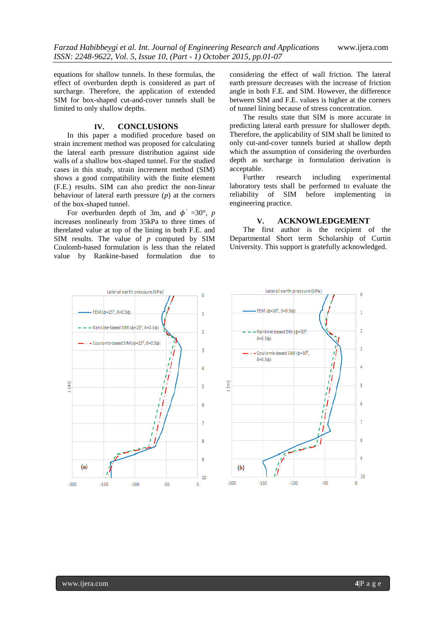equations for shallow tunnels. In these formulas, the effect of overburden depth is considered as part of surcharge. Therefore, the application of extended SIM for box-shaped cut-and-cover tunnels shall be limited to only shallow depths.

# **IV. CONCLUSIONS**

In this paper a modified procedure based on strain increment method was proposed for calculating the lateral earth pressure distribution against side walls of a shallow box-shaped tunnel. For the studied cases in this study, strain increment method (SIM) shows a good compatibility with the finite element (F.E.) results. SIM can also predict the non-linear behaviour of lateral earth pressure (*p*) at the corners of the box-shaped tunnel.

For overburden depth of 3m, and  $\phi' = 30^{\circ}$ , *p* increases nonlinearly from 35kPa to three times of therelated value at top of the lining in both F.E. and SIM results. The value of *p* computed by SIM Coulomb-based formulation is less than the related value by Rankine-based formulation due to

considering the effect of wall friction. The lateral earth pressure decreases with the increase of friction angle in both F.E. and SIM. However, the difference between SIM and F.E. values is higher at the corners of tunnel lining because of stress concentration.

The results state that SIM is more accurate in predicting lateral earth pressure for shallower depth. Therefore, the applicability of SIM shall be limited to only cut-and-cover tunnels buried at shallow depth which the assumption of considering the overburden depth as surcharge in formulation derivation is acceptable.

research including experimental laboratory tests shall be performed to evaluate the reliability of SIM before implementing in engineering practice.

#### **V. ACKNOWLEDGEMENT**

The first author is the recipient of the Departmental Short term Scholarship of Curtin University. This support is gratefully acknowledged.



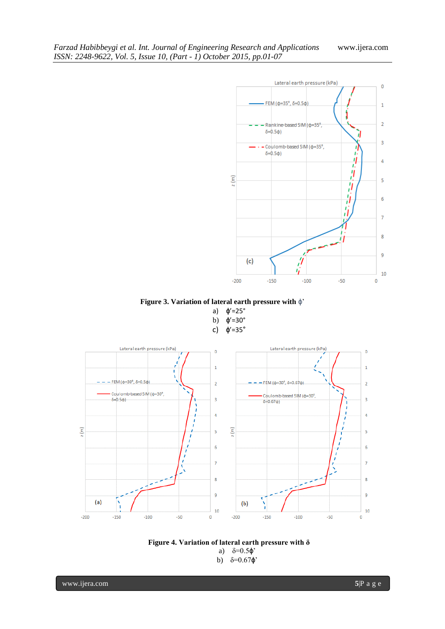

**Figure 3. Variation of lateral earth pressure with** ɸ'

a) ɸ'=25° b)  $\phi' = 30^\circ$ c) ɸ'=35°



# **Figure 4. Variation of lateral earth pressure with δ** a)  $\delta = 0.5 \phi'$

b)  $\delta = 0.67 \phi'$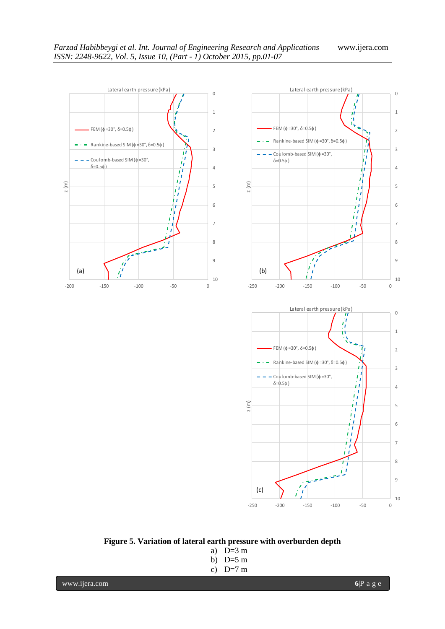



# **Figure 5. Variation of lateral earth pressure with overburden depth**

a) D=3 m b) D=5 m